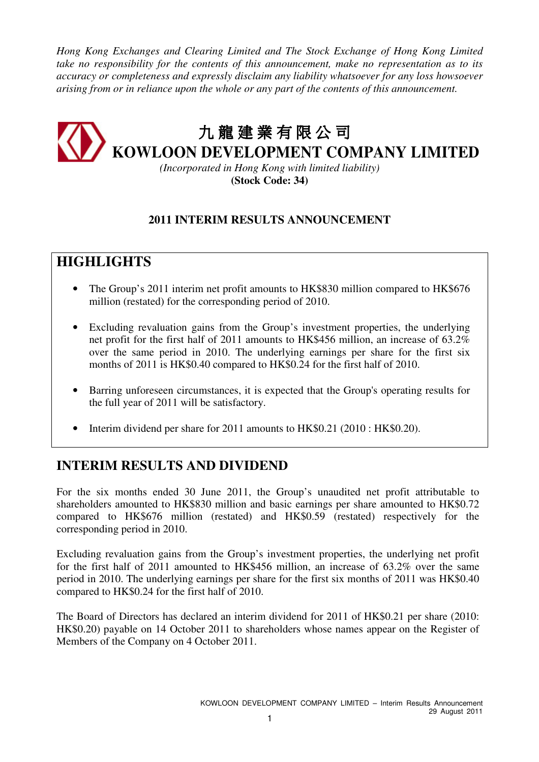*Hong Kong Exchanges and Clearing Limited and The Stock Exchange of Hong Kong Limited take no responsibility for the contents of this announcement, make no representation as to its accuracy or completeness and expressly disclaim any liability whatsoever for any loss howsoever arising from or in reliance upon the whole or any part of the contents of this announcement.* 

# 九 龍建業有限公司 九龍建葉有限公司<br>KOWLOON DEVELOPMENT COMPANY LIMITED

*(Incorporated in Hong Kong with limited liability)*  **(Stock Code: 34)** 

### **2011 INTERIM RESULTS ANNOUNCEMENT**

# **HIGHLIGHTS**

- The Group's 2011 interim net profit amounts to HK\$830 million compared to HK\$676 million (restated) for the corresponding period of 2010.
- Excluding revaluation gains from the Group's investment properties, the underlying net profit for the first half of 2011 amounts to HK\$456 million, an increase of 63.2% over the same period in 2010. The underlying earnings per share for the first six months of 2011 is HK\$0.40 compared to HK\$0.24 for the first half of 2010.
- Barring unforeseen circumstances, it is expected that the Group's operating results for the full year of 2011 will be satisfactory.
- Interim dividend per share for 2011 amounts to HK\$0.21 (2010 : HK\$0.20).

# **INTERIM RESULTS AND DIVIDEND**

For the six months ended 30 June 2011, the Group's unaudited net profit attributable to shareholders amounted to HK\$830 million and basic earnings per share amounted to HK\$0.72 compared to HK\$676 million (restated) and HK\$0.59 (restated) respectively for the corresponding period in 2010.

Excluding revaluation gains from the Group's investment properties, the underlying net profit for the first half of 2011 amounted to HK\$456 million, an increase of 63.2% over the same period in 2010. The underlying earnings per share for the first six months of 2011 was HK\$0.40 compared to HK\$0.24 for the first half of 2010.

The Board of Directors has declared an interim dividend for 2011 of HK\$0.21 per share (2010: HK\$0.20) payable on 14 October 2011 to shareholders whose names appear on the Register of Members of the Company on 4 October 2011.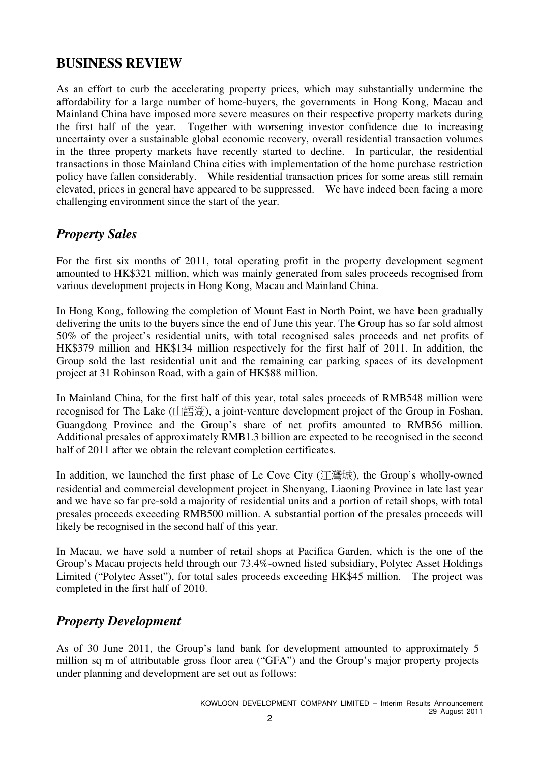# **BUSINESS REVIEW**

As an effort to curb the accelerating property prices, which may substantially undermine the affordability for a large number of home-buyers, the governments in Hong Kong, Macau and Mainland China have imposed more severe measures on their respective property markets during the first half of the year. Together with worsening investor confidence due to increasing uncertainty over a sustainable global economic recovery, overall residential transaction volumes in the three property markets have recently started to decline. In particular, the residential transactions in those Mainland China cities with implementation of the home purchase restriction policy have fallen considerably. While residential transaction prices for some areas still remain elevated, prices in general have appeared to be suppressed. We have indeed been facing a more challenging environment since the start of the year.

# *Property Sales*

For the first six months of 2011, total operating profit in the property development segment amounted to HK\$321 million, which was mainly generated from sales proceeds recognised from various development projects in Hong Kong, Macau and Mainland China.

In Hong Kong, following the completion of Mount East in North Point, we have been gradually delivering the units to the buyers since the end of June this year. The Group has so far sold almost 50% of the project's residential units, with total recognised sales proceeds and net profits of HK\$379 million and HK\$134 million respectively for the first half of 2011. In addition, the Group sold the last residential unit and the remaining car parking spaces of its development project at 31 Robinson Road, with a gain of HK\$88 million.

In Mainland China, for the first half of this year, total sales proceeds of RMB548 million were recognised for The Lake (山語湖), a joint-venture development project of the Group in Foshan, Guangdong Province and the Group's share of net profits amounted to RMB56 million. Additional presales of approximately RMB1.3 billion are expected to be recognised in the second half of 2011 after we obtain the relevant completion certificates.

In addition, we launched the first phase of Le Cove City (江灣城), the Group's wholly-owned residential and commercial development project in Shenyang, Liaoning Province in late last year and we have so far pre-sold a majority of residential units and a portion of retail shops, with total presales proceeds exceeding RMB500 million. A substantial portion of the presales proceeds will likely be recognised in the second half of this year.

In Macau, we have sold a number of retail shops at Pacifica Garden, which is the one of the Group's Macau projects held through our 73.4%-owned listed subsidiary, Polytec Asset Holdings Limited ("Polytec Asset"), for total sales proceeds exceeding HK\$45 million. The project was completed in the first half of 2010.

# *Property Development*

As of 30 June 2011, the Group's land bank for development amounted to approximately 5 million sq m of attributable gross floor area ("GFA") and the Group's major property projects under planning and development are set out as follows: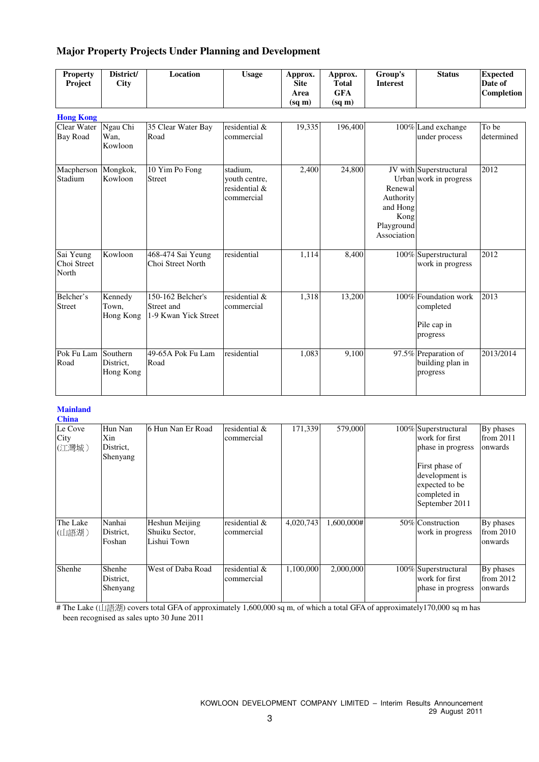### **Major Property Projects Under Planning and Development**

| <b>Property</b><br>Project        | District/<br><b>City</b>           | Location                                                | <b>Usage</b>                                             | Approx.<br><b>Site</b><br>Area<br>$(sq \, \text{m})$ | Approx.<br><b>Total</b><br><b>GFA</b><br>$(sq \, \text{m})$ | Group's<br><b>Interest</b>                                            | <b>Status</b>                                                | <b>Expected</b><br>Date of<br>Completion |
|-----------------------------------|------------------------------------|---------------------------------------------------------|----------------------------------------------------------|------------------------------------------------------|-------------------------------------------------------------|-----------------------------------------------------------------------|--------------------------------------------------------------|------------------------------------------|
| <b>Hong Kong</b>                  |                                    |                                                         |                                                          |                                                      |                                                             |                                                                       |                                                              |                                          |
| Clear Water<br><b>Bay Road</b>    | Ngau Chi<br>Wan.<br>Kowloon        | 35 Clear Water Bay<br>Road                              | residential &<br>commercial                              | 19,335                                               | 196,400                                                     |                                                                       | 100% Land exchange<br>under process                          | To be<br>determined                      |
| Macpherson<br>Stadium             | Mongkok,<br>Kowloon                | 10 Yim Po Fong<br><b>Street</b>                         | stadium,<br>youth centre,<br>residential &<br>commercial | 2,400                                                | $\overline{24,800}$                                         | Renewal<br>Authority<br>and Hong<br>Kong<br>Playground<br>Association | JV with Superstructural<br>Urban work in progress            | 2012                                     |
| Sai Yeung<br>Choi Street<br>North | Kowloon                            | 468-474 Sai Yeung<br>Choi Street North                  | residential                                              | 1,114                                                | 8,400                                                       |                                                                       | 100% Superstructural<br>work in progress                     | 2012                                     |
| Belcher's<br><b>Street</b>        | Kennedy<br>Town.<br>Hong Kong      | 150-162 Belcher's<br>Street and<br>1-9 Kwan Yick Street | residential $\&$<br>commercial                           | 1,318                                                | 13,200                                                      |                                                                       | 100% Foundation work<br>completed<br>Pile cap in<br>progress | 2013                                     |
| Pok Fu Lam<br>Road                | Southern<br>District,<br>Hong Kong | 49-65A Pok Fu Lam<br>Road                               | residential                                              | 1,083                                                | 9,100                                                       |                                                                       | 97.5% Preparation of<br>building plan in<br>progress         | 2013/2014                                |

#### **Mainland China**

| Спина                    |                                         |                                                 |                             |           |            |                                                                                                                                                     |                                     |
|--------------------------|-----------------------------------------|-------------------------------------------------|-----------------------------|-----------|------------|-----------------------------------------------------------------------------------------------------------------------------------------------------|-------------------------------------|
| Le Cove<br>City<br>(江灣城) | Hun Nan<br>Xin<br>District,<br>Shenyang | 16 Hun Nan Er Road                              | residential &<br>commercial | 171,339   | 579,000    | 100% Superstructural<br>work for first<br>phase in progress<br>First phase of<br>development is<br>expected to be<br>completed in<br>September 2011 | By phases<br>from 2011<br>onwards   |
| The Lake<br>(山語湖)        | Nanhai<br>District,<br>Foshan           | Heshun Meijing<br>Shuiku Sector,<br>Lishui Town | residential &<br>commercial | 4,020,743 | 1,600,000# | 50% Construction<br>work in progress                                                                                                                | By phases<br>from 2010<br>onwards   |
| Shenhe                   | Shenhe<br>District,<br>Shenyang         | West of Daba Road                               | residential &<br>commercial | 1,100,000 | 2,000,000  | 100% Superstructural<br>work for first<br>phase in progress                                                                                         | By phases<br>from $2012$<br>onwards |

# The Lake (山語湖) covers total GFA of approximately 1,600,000 sq m, of which a total GFA of approximately170,000 sq m has been recognised as sales upto 30 June 2011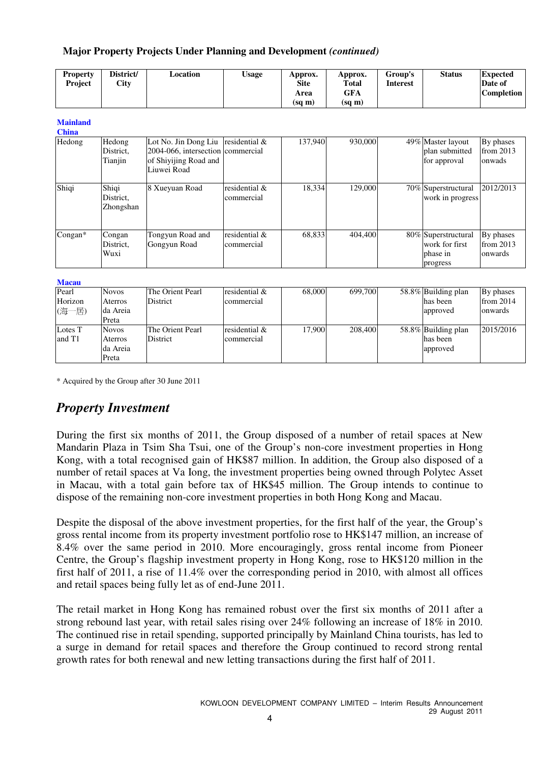### **Major Property Projects Under Planning and Development** *(continued)*

| <b>Property</b><br>Project | District/<br>City | Location | <b>Usage</b> | Approx.<br><b>Site</b> | Approx.<br><b>Total</b> | Group's<br><b>Interest</b> | <b>Status</b> | <b>Expected</b><br>Date of |
|----------------------------|-------------------|----------|--------------|------------------------|-------------------------|----------------------------|---------------|----------------------------|
|                            |                   |          |              | Area                   | GFA                     |                            |               | <b>Completion</b>          |
|                            |                   |          |              | (sq m)                 | (sq m)                  |                            |               |                            |

#### **Mainland**

| <b>China</b> |                                 |                                                                                                                   |                             |         |         |                                                               |                                    |
|--------------|---------------------------------|-------------------------------------------------------------------------------------------------------------------|-----------------------------|---------|---------|---------------------------------------------------------------|------------------------------------|
| Hedong       | Hedong<br>District.<br>Tianjin  | Lot No. Jin Dong Liu residential $&$<br>2004-066, intersection commercial<br>of Shiyijing Road and<br>Liuwei Road |                             | 137,940 | 930,000 | 49% Master layout<br>plan submitted<br>for approval           | By phases<br>from $2013$<br>onwads |
| Shiqi        | Shiqi<br>District.<br>Zhongshan | 8 Xueyuan Road                                                                                                    | residential &<br>commercial | 18.334  | 129,000 | 70% Superstructural<br>work in progress                       | 2012/2013                          |
| $Congan*$    | Congan<br>District.<br>Wuxi     | Tongyun Road and<br>Gongyun Road                                                                                  | residential &<br>commercial | 68.833  | 404,400 | 80% Superstructural<br>work for first<br>phase in<br>progress | By phases<br>from 2013<br>onwards  |

#### **Macau**

| Pearl   | <b>Novos</b> | The Orient Pearl | residential & | 68,000 | 699,700 | 58.8% Building plan | By phases |
|---------|--------------|------------------|---------------|--------|---------|---------------------|-----------|
| Horizon | Aterros      | <b>District</b>  | commercial    |        |         | has been            | from 2014 |
| (海一居)   | da Areia     |                  |               |        |         | approved            | onwards   |
|         | Preta        |                  |               |        |         |                     |           |
| Lotes T | <b>Novos</b> | The Orient Pearl | residential & | 17.900 | 208,400 | 58.8% Building plan | 2015/2016 |
| and T1  | Aterros      | <b>District</b>  | commercial    |        |         | has been            |           |
|         | da Areia     |                  |               |        |         | approved            |           |
|         | Preta        |                  |               |        |         |                     |           |

\* Acquired by the Group after 30 June 2011

# *Property Investment*

During the first six months of 2011, the Group disposed of a number of retail spaces at New Mandarin Plaza in Tsim Sha Tsui, one of the Group's non-core investment properties in Hong Kong, with a total recognised gain of HK\$87 million. In addition, the Group also disposed of a number of retail spaces at Va Iong, the investment properties being owned through Polytec Asset in Macau, with a total gain before tax of HK\$45 million. The Group intends to continue to dispose of the remaining non-core investment properties in both Hong Kong and Macau.

Despite the disposal of the above investment properties, for the first half of the year, the Group's gross rental income from its property investment portfolio rose to HK\$147 million, an increase of 8.4% over the same period in 2010. More encouragingly, gross rental income from Pioneer Centre, the Group's flagship investment property in Hong Kong, rose to HK\$120 million in the first half of 2011, a rise of 11.4% over the corresponding period in 2010, with almost all offices and retail spaces being fully let as of end-June 2011.

The retail market in Hong Kong has remained robust over the first six months of 2011 after a strong rebound last year, with retail sales rising over 24% following an increase of 18% in 2010. The continued rise in retail spending, supported principally by Mainland China tourists, has led to a surge in demand for retail spaces and therefore the Group continued to record strong rental growth rates for both renewal and new letting transactions during the first half of 2011.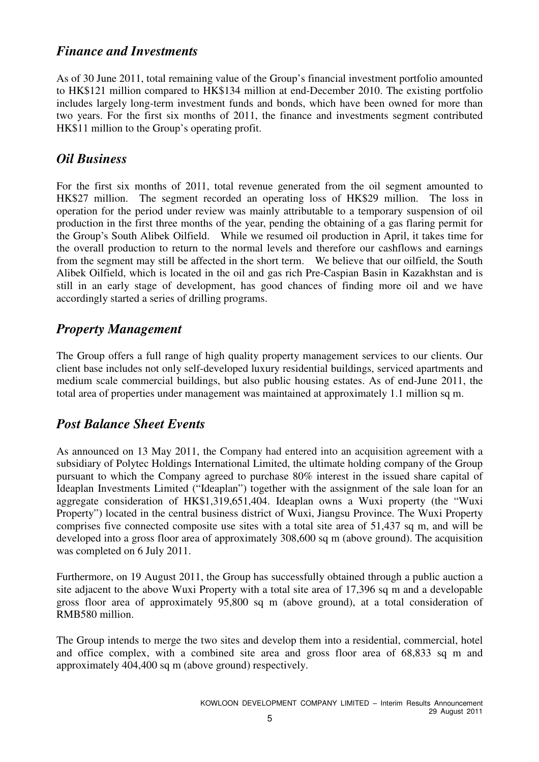### *Finance and Investments*

As of 30 June 2011, total remaining value of the Group's financial investment portfolio amounted to HK\$121 million compared to HK\$134 million at end-December 2010. The existing portfolio includes largely long-term investment funds and bonds, which have been owned for more than two years. For the first six months of 2011, the finance and investments segment contributed HK\$11 million to the Group's operating profit.

# *Oil Business*

For the first six months of 2011, total revenue generated from the oil segment amounted to HK\$27 million. The segment recorded an operating loss of HK\$29 million. The loss in operation for the period under review was mainly attributable to a temporary suspension of oil production in the first three months of the year, pending the obtaining of a gas flaring permit for the Group's South Alibek Oilfield. While we resumed oil production in April, it takes time for the overall production to return to the normal levels and therefore our cashflows and earnings from the segment may still be affected in the short term. We believe that our oilfield, the South Alibek Oilfield, which is located in the oil and gas rich Pre-Caspian Basin in Kazakhstan and is still in an early stage of development, has good chances of finding more oil and we have accordingly started a series of drilling programs.

# *Property Management*

The Group offers a full range of high quality property management services to our clients. Our client base includes not only self-developed luxury residential buildings, serviced apartments and medium scale commercial buildings, but also public housing estates. As of end-June 2011, the total area of properties under management was maintained at approximately 1.1 million sq m.

# *Post Balance Sheet Events*

As announced on 13 May 2011, the Company had entered into an acquisition agreement with a subsidiary of Polytec Holdings International Limited, the ultimate holding company of the Group pursuant to which the Company agreed to purchase 80% interest in the issued share capital of Ideaplan Investments Limited ("Ideaplan") together with the assignment of the sale loan for an aggregate consideration of HK\$1,319,651,404. Ideaplan owns a Wuxi property (the "Wuxi Property") located in the central business district of Wuxi, Jiangsu Province. The Wuxi Property comprises five connected composite use sites with a total site area of 51,437 sq m, and will be developed into a gross floor area of approximately 308,600 sq m (above ground). The acquisition was completed on 6 July 2011.

Furthermore, on 19 August 2011, the Group has successfully obtained through a public auction a site adjacent to the above Wuxi Property with a total site area of 17,396 sq m and a developable gross floor area of approximately 95,800 sq m (above ground), at a total consideration of RMB580 million.

The Group intends to merge the two sites and develop them into a residential, commercial, hotel and office complex, with a combined site area and gross floor area of 68,833 sq m and approximately 404,400 sq m (above ground) respectively.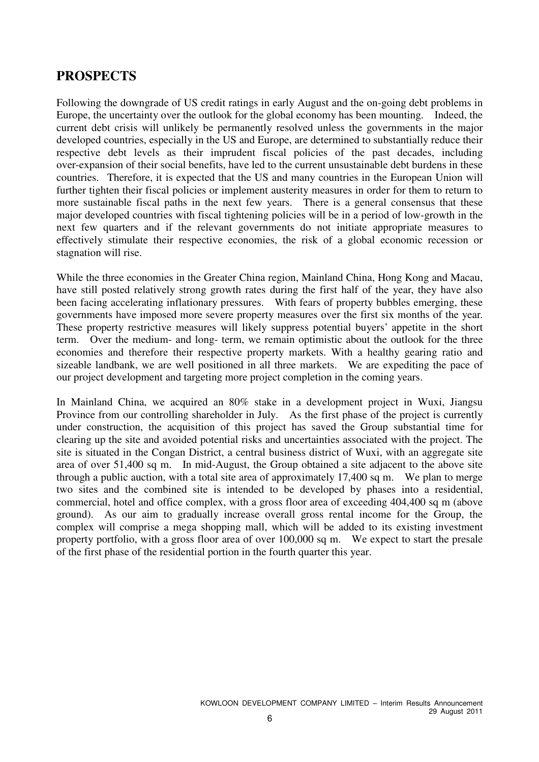# **PROSPECTS**

Following the downgrade of US credit ratings in early August and the on-going debt problems in Europe, the uncertainty over the outlook for the global economy has been mounting. Indeed, the current debt crisis will unlikely be permanently resolved unless the governments in the major developed countries, especially in the US and Europe, are determined to substantially reduce their respective debt levels as their imprudent fiscal policies of the past decades, including over-expansion of their social benefits, have led to the current unsustainable debt burdens in these countries. Therefore, it is expected that the US and many countries in the European Union will further tighten their fiscal policies or implement austerity measures in order for them to return to more sustainable fiscal paths in the next few years. There is a general consensus that these major developed countries with fiscal tightening policies will be in a period of low-growth in the next few quarters and if the relevant governments do not initiate appropriate measures to effectively stimulate their respective economies, the risk of a global economic recession or stagnation will rise.

While the three economies in the Greater China region, Mainland China, Hong Kong and Macau, have still posted relatively strong growth rates during the first half of the year, they have also been facing accelerating inflationary pressures. With fears of property bubbles emerging, these governments have imposed more severe property measures over the first six months of the year. These property restrictive measures will likely suppress potential buyers' appetite in the short term. Over the medium- and long- term, we remain optimistic about the outlook for the three economies and therefore their respective property markets. With a healthy gearing ratio and sizeable landbank, we are well positioned in all three markets. We are expediting the pace of our project development and targeting more project completion in the coming years.

In Mainland China, we acquired an 80% stake in a development project in Wuxi, Jiangsu Province from our controlling shareholder in July. As the first phase of the project is currently under construction, the acquisition of this project has saved the Group substantial time for clearing up the site and avoided potential risks and uncertainties associated with the project. The site is situated in the Congan District, a central business district of Wuxi, with an aggregate site area of over 51,400 sq m. In mid-August, the Group obtained a site adjacent to the above site through a public auction, with a total site area of approximately 17,400 sq m. We plan to merge two sites and the combined site is intended to be developed by phases into a residential, commercial, hotel and office complex, with a gross floor area of exceeding 404,400 sq m (above ground). As our aim to gradually increase overall gross rental income for the Group, the complex will comprise a mega shopping mall, which will be added to its existing investment property portfolio, with a gross floor area of over 100,000 sq m. We expect to start the presale of the first phase of the residential portion in the fourth quarter this year.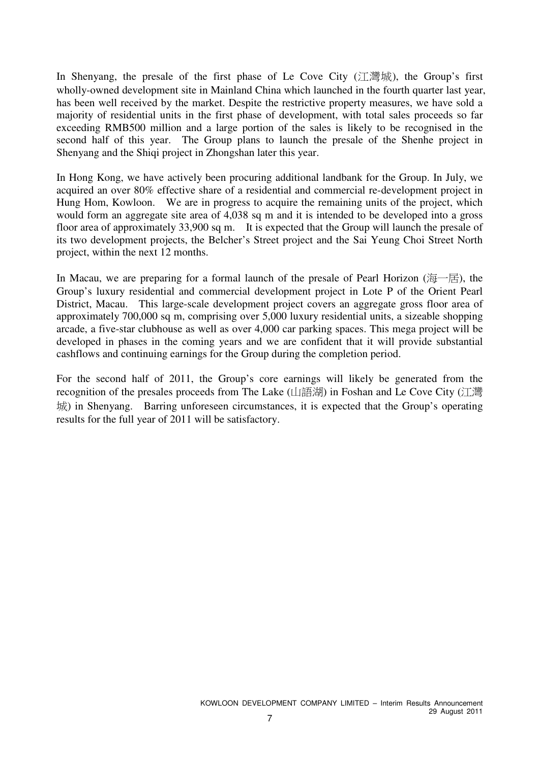In Shenyang, the presale of the first phase of Le Cove City  $(1 \nmid \mathbb{H})$ , the Group's first wholly-owned development site in Mainland China which launched in the fourth quarter last year, has been well received by the market. Despite the restrictive property measures, we have sold a majority of residential units in the first phase of development, with total sales proceeds so far exceeding RMB500 million and a large portion of the sales is likely to be recognised in the second half of this year. The Group plans to launch the presale of the Shenhe project in Shenyang and the Shiqi project in Zhongshan later this year.

In Hong Kong, we have actively been procuring additional landbank for the Group. In July, we acquired an over 80% effective share of a residential and commercial re-development project in Hung Hom, Kowloon. We are in progress to acquire the remaining units of the project, which would form an aggregate site area of 4,038 sq m and it is intended to be developed into a gross floor area of approximately 33,900 sq m. It is expected that the Group will launch the presale of its two development projects, the Belcher's Street project and the Sai Yeung Choi Street North project, within the next 12 months.

In Macau, we are preparing for a formal launch of the presale of Pearl Horizon ( $\overline{\mathbb{B}}$ ), the Group's luxury residential and commercial development project in Lote P of the Orient Pearl District, Macau. This large-scale development project covers an aggregate gross floor area of approximately 700,000 sq m, comprising over 5,000 luxury residential units, a sizeable shopping arcade, a five-star clubhouse as well as over 4,000 car parking spaces. This mega project will be developed in phases in the coming years and we are confident that it will provide substantial cashflows and continuing earnings for the Group during the completion period.

For the second half of 2011, the Group's core earnings will likely be generated from the recognition of the presales proceeds from The Lake (山語湖) in Foshan and Le Cove City (江灣 城) in Shenyang. Barring unforeseen circumstances, it is expected that the Group's operating results for the full year of 2011 will be satisfactory.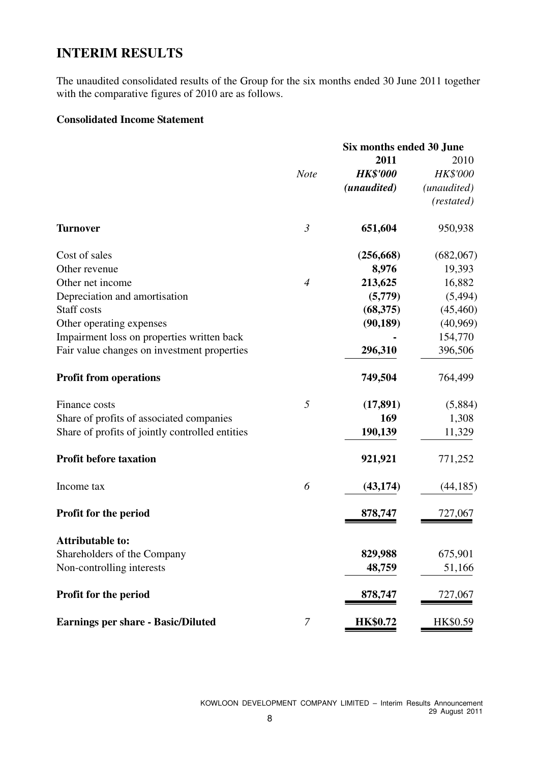# **INTERIM RESULTS**

The unaudited consolidated results of the Group for the six months ended 30 June 2011 together with the comparative figures of 2010 are as follows.

### **Consolidated Income Statement**

|                                                 | Six months ended 30 June |                 |             |  |  |
|-------------------------------------------------|--------------------------|-----------------|-------------|--|--|
|                                                 |                          | 2011            | 2010        |  |  |
|                                                 | <b>Note</b>              | <b>HK\$'000</b> | HK\$'000    |  |  |
|                                                 |                          | (unaudited)     | (unaudited) |  |  |
|                                                 |                          |                 | (restated)  |  |  |
| <b>Turnover</b>                                 | $\mathfrak{Z}$           | 651,604         | 950,938     |  |  |
| Cost of sales                                   |                          | (256, 668)      | (682,067)   |  |  |
| Other revenue                                   |                          | 8,976           | 19,393      |  |  |
| Other net income                                | $\overline{4}$           | 213,625         | 16,882      |  |  |
| Depreciation and amortisation                   |                          | (5,779)         | (5, 494)    |  |  |
| <b>Staff</b> costs                              |                          | (68, 375)       | (45, 460)   |  |  |
| Other operating expenses                        |                          | (90, 189)       | (40,969)    |  |  |
| Impairment loss on properties written back      |                          |                 | 154,770     |  |  |
| Fair value changes on investment properties     |                          | 296,310         | 396,506     |  |  |
| <b>Profit from operations</b>                   |                          | 749,504         | 764,499     |  |  |
| Finance costs                                   | 5                        | (17, 891)       | (5,884)     |  |  |
| Share of profits of associated companies        |                          | 169             | 1,308       |  |  |
| Share of profits of jointly controlled entities |                          | 190,139         | 11,329      |  |  |
| <b>Profit before taxation</b>                   |                          | 921,921         | 771,252     |  |  |
| Income tax                                      | 6                        | (43, 174)       | (44, 185)   |  |  |
| <b>Profit for the period</b>                    |                          | 878,747         | 727,067     |  |  |
| <b>Attributable to:</b>                         |                          |                 |             |  |  |
| Shareholders of the Company                     |                          | 829,988         | 675,901     |  |  |
| Non-controlling interests                       |                          | 48,759          | 51,166      |  |  |
| Profit for the period                           |                          | 878,747         | 727,067     |  |  |
| <b>Earnings per share - Basic/Diluted</b>       | 7                        | <b>HK\$0.72</b> | HK\$0.59    |  |  |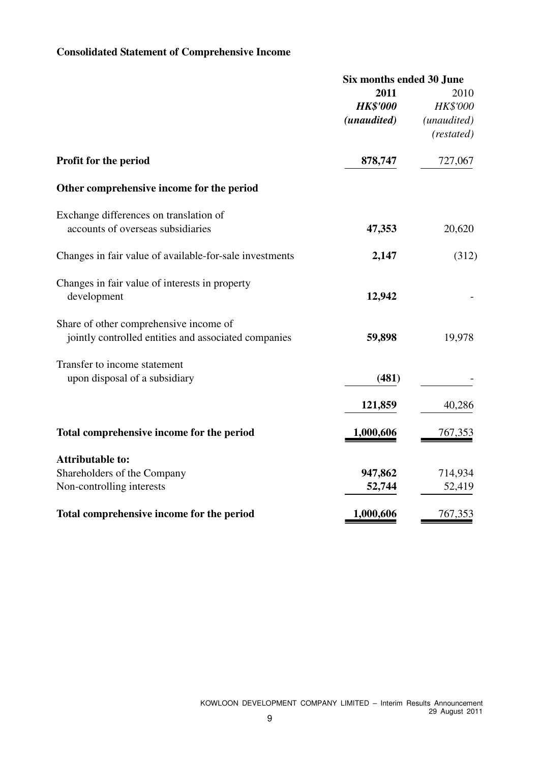# **Consolidated Statement of Comprehensive Income**

|                                                         | Six months ended 30 June |                 |  |
|---------------------------------------------------------|--------------------------|-----------------|--|
|                                                         | 2011                     | 2010            |  |
|                                                         | <b>HK\$'000</b>          | <b>HK\$'000</b> |  |
|                                                         | (unaudited)              | (unaudited)     |  |
|                                                         |                          | (restated)      |  |
| Profit for the period                                   | 878,747                  | 727,067         |  |
| Other comprehensive income for the period               |                          |                 |  |
| Exchange differences on translation of                  |                          |                 |  |
| accounts of overseas subsidiaries                       | 47,353                   | 20,620          |  |
| Changes in fair value of available-for-sale investments | 2,147                    | (312)           |  |
| Changes in fair value of interests in property          |                          |                 |  |
| development                                             | 12,942                   |                 |  |
| Share of other comprehensive income of                  |                          |                 |  |
| jointly controlled entities and associated companies    | 59,898                   | 19,978          |  |
| Transfer to income statement                            |                          |                 |  |
| upon disposal of a subsidiary                           | (481)                    |                 |  |
|                                                         | 121,859                  | 40,286          |  |
| Total comprehensive income for the period               | 1,000,606                | 767,353         |  |
| <b>Attributable to:</b>                                 |                          |                 |  |
| Shareholders of the Company                             | 947,862                  | 714,934         |  |
| Non-controlling interests                               | 52,744                   | 52,419          |  |
| Total comprehensive income for the period               | 1,000,606                | 767,353         |  |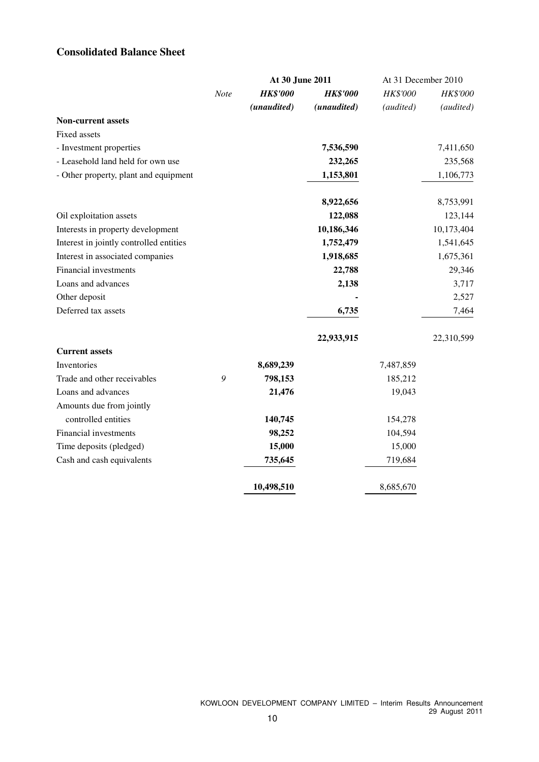### **Consolidated Balance Sheet**

|                                         |      | At 30 June 2011 |                 | At 31 December 2010 |            |
|-----------------------------------------|------|-----------------|-----------------|---------------------|------------|
|                                         | Note | <b>HK\$'000</b> | <b>HK\$'000</b> | HK\$'000            | HK\$'000   |
|                                         |      | (unaudited)     | (unaudited)     | (audited)           | (audited)  |
| <b>Non-current assets</b>               |      |                 |                 |                     |            |
| Fixed assets                            |      |                 |                 |                     |            |
| - Investment properties                 |      |                 | 7,536,590       |                     | 7,411,650  |
| - Leasehold land held for own use       |      |                 | 232,265         |                     | 235,568    |
| - Other property, plant and equipment   |      |                 | 1,153,801       |                     | 1,106,773  |
|                                         |      |                 | 8,922,656       |                     | 8,753,991  |
| Oil exploitation assets                 |      |                 | 122,088         |                     | 123,144    |
| Interests in property development       |      |                 | 10,186,346      |                     | 10,173,404 |
| Interest in jointly controlled entities |      |                 | 1,752,479       |                     | 1,541,645  |
| Interest in associated companies        |      |                 | 1,918,685       |                     | 1,675,361  |
| Financial investments                   |      |                 | 22,788          |                     | 29,346     |
| Loans and advances                      |      |                 | 2,138           |                     | 3,717      |
| Other deposit                           |      |                 |                 |                     | 2,527      |
| Deferred tax assets                     |      |                 | 6,735           |                     | 7,464      |
|                                         |      |                 | 22,933,915      |                     | 22,310,599 |
| <b>Current assets</b>                   |      |                 |                 |                     |            |
| Inventories                             |      | 8,689,239       |                 | 7,487,859           |            |
| Trade and other receivables             | 9    | 798,153         |                 | 185,212             |            |
| Loans and advances                      |      | 21,476          |                 | 19,043              |            |
| Amounts due from jointly                |      |                 |                 |                     |            |
| controlled entities                     |      | 140,745         |                 | 154,278             |            |
| Financial investments                   |      | 98,252          |                 | 104,594             |            |
| Time deposits (pledged)                 |      | 15,000          |                 | 15,000              |            |
| Cash and cash equivalents               |      | 735,645         |                 | 719,684             |            |
|                                         |      | 10,498,510      |                 | 8,685,670           |            |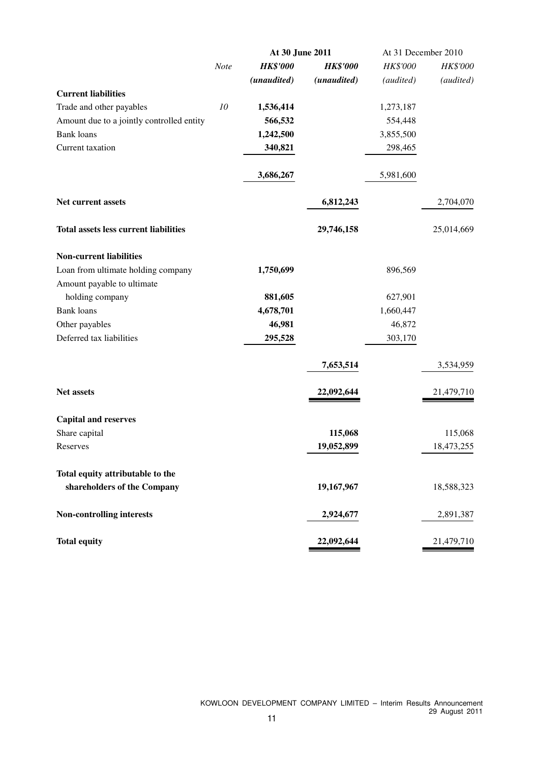|                                              |      | At 30 June 2011 |                   | At 31 December 2010 |            |
|----------------------------------------------|------|-----------------|-------------------|---------------------|------------|
|                                              | Note | <b>HK\$'000</b> | <b>HK\$'000</b>   | HK\$'000            | HK\$'000   |
|                                              |      | (unaudited)     | (unaudited)       | (audited)           | (audited)  |
| <b>Current liabilities</b>                   |      |                 |                   |                     |            |
| Trade and other payables                     | 10   | 1,536,414       |                   | 1,273,187           |            |
| Amount due to a jointly controlled entity    |      | 566,532         |                   | 554,448             |            |
| <b>Bank</b> loans                            |      | 1,242,500       |                   | 3,855,500           |            |
| Current taxation                             |      | 340,821         |                   | 298,465             |            |
|                                              |      | 3,686,267       |                   | 5,981,600           |            |
| Net current assets                           |      |                 | 6,812,243         |                     | 2,704,070  |
| <b>Total assets less current liabilities</b> |      |                 | 29,746,158        |                     | 25,014,669 |
| <b>Non-current liabilities</b>               |      |                 |                   |                     |            |
| Loan from ultimate holding company           |      | 1,750,699       |                   | 896,569             |            |
| Amount payable to ultimate                   |      |                 |                   |                     |            |
| holding company                              |      | 881,605         |                   | 627,901             |            |
| <b>Bank</b> loans                            |      | 4,678,701       |                   | 1,660,447           |            |
| Other payables                               |      | 46,981          |                   | 46,872              |            |
| Deferred tax liabilities                     |      | 295,528         |                   | 303,170             |            |
|                                              |      |                 | 7,653,514         |                     | 3,534,959  |
| <b>Net assets</b>                            |      |                 | <u>22,092,644</u> |                     | 21,479,710 |
| <b>Capital and reserves</b>                  |      |                 |                   |                     |            |
| Share capital                                |      |                 | 115,068           |                     | 115,068    |
| Reserves                                     |      |                 | 19,052,899        |                     | 18,473,255 |
| Total equity attributable to the             |      |                 |                   |                     |            |
| shareholders of the Company                  |      |                 | 19,167,967        |                     | 18,588,323 |
| <b>Non-controlling interests</b>             |      |                 | 2,924,677         |                     | 2,891,387  |
| <b>Total equity</b>                          |      |                 | 22,092,644        |                     | 21,479,710 |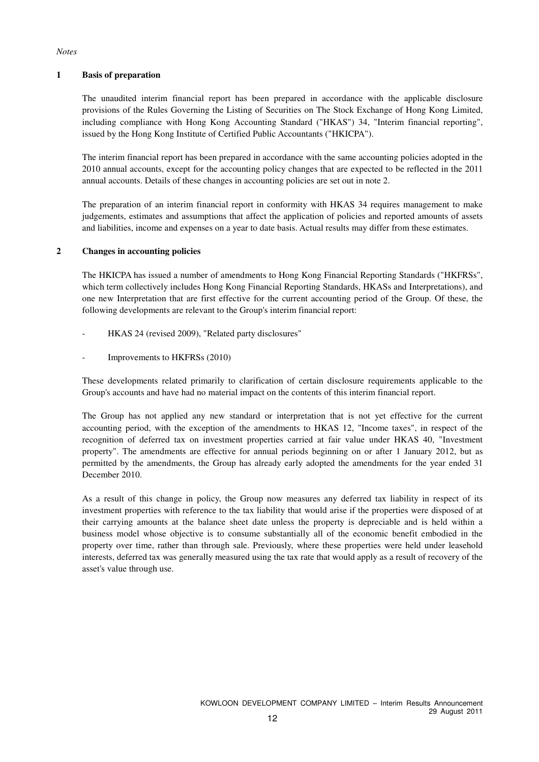#### *Notes*

#### **1 Basis of preparation**

The unaudited interim financial report has been prepared in accordance with the applicable disclosure provisions of the Rules Governing the Listing of Securities on The Stock Exchange of Hong Kong Limited, including compliance with Hong Kong Accounting Standard ("HKAS") 34, "Interim financial reporting", issued by the Hong Kong Institute of Certified Public Accountants ("HKICPA").

The interim financial report has been prepared in accordance with the same accounting policies adopted in the 2010 annual accounts, except for the accounting policy changes that are expected to be reflected in the 2011 annual accounts. Details of these changes in accounting policies are set out in note 2.

The preparation of an interim financial report in conformity with HKAS 34 requires management to make judgements, estimates and assumptions that affect the application of policies and reported amounts of assets and liabilities, income and expenses on a year to date basis. Actual results may differ from these estimates.

#### **2 Changes in accounting policies**

The HKICPA has issued a number of amendments to Hong Kong Financial Reporting Standards ("HKFRSs", which term collectively includes Hong Kong Financial Reporting Standards, HKASs and Interpretations), and one new Interpretation that are first effective for the current accounting period of the Group. Of these, the following developments are relevant to the Group's interim financial report:

- HKAS 24 (revised 2009), "Related party disclosures"
- Improvements to HKFRSs (2010)

These developments related primarily to clarification of certain disclosure requirements applicable to the Group's accounts and have had no material impact on the contents of this interim financial report.

The Group has not applied any new standard or interpretation that is not yet effective for the current accounting period, with the exception of the amendments to HKAS 12, "Income taxes", in respect of the recognition of deferred tax on investment properties carried at fair value under HKAS 40, "Investment property". The amendments are effective for annual periods beginning on or after 1 January 2012, but as permitted by the amendments, the Group has already early adopted the amendments for the year ended 31 December 2010.

As a result of this change in policy, the Group now measures any deferred tax liability in respect of its investment properties with reference to the tax liability that would arise if the properties were disposed of at their carrying amounts at the balance sheet date unless the property is depreciable and is held within a business model whose objective is to consume substantially all of the economic benefit embodied in the property over time, rather than through sale. Previously, where these properties were held under leasehold interests, deferred tax was generally measured using the tax rate that would apply as a result of recovery of the asset's value through use.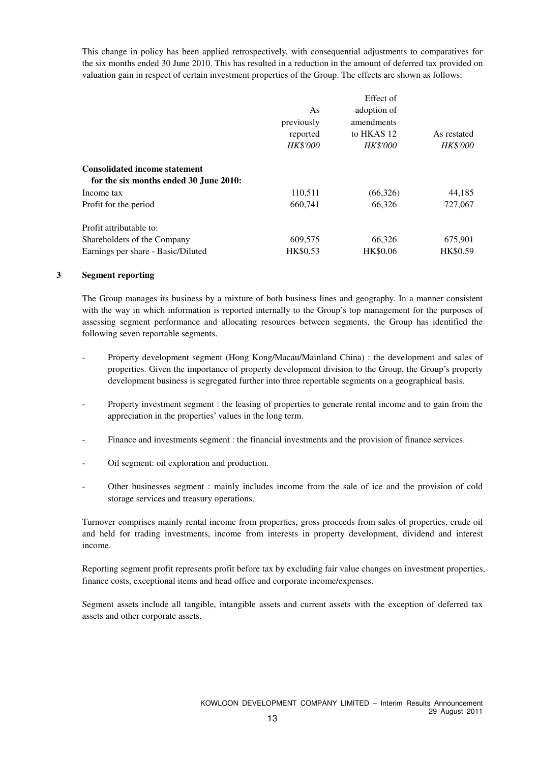This change in policy has been applied retrospectively, with consequential adjustments to comparatives for the six months ended 30 June 2010. This has resulted in a reduction in the amount of deferred tax provided on valuation gain in respect of certain investment properties of the Group. The effects are shown as follows:

|                                        |                 | Effect of       |                 |
|----------------------------------------|-----------------|-----------------|-----------------|
|                                        | As              | adoption of     |                 |
|                                        | previously      | amendments      |                 |
|                                        | reported        | to HKAS 12      | As restated     |
|                                        | <b>HK\$'000</b> | <b>HK\$'000</b> | <b>HK\$'000</b> |
| <b>Consolidated income statement</b>   |                 |                 |                 |
| for the six months ended 30 June 2010: |                 |                 |                 |
| Income tax                             | 110,511         | (66,326)        | 44,185          |
| Profit for the period                  | 660,741         | 66,326          | 727,067         |
| Profit attributable to:                |                 |                 |                 |
| Shareholders of the Company            | 609,575         | 66,326          | 675,901         |
| Earnings per share - Basic/Diluted     | HK\$0.53        | <b>HK\$0.06</b> | HK\$0.59        |

#### **3 Segment reporting**

The Group manages its business by a mixture of both business lines and geography. In a manner consistent with the way in which information is reported internally to the Group's top management for the purposes of assessing segment performance and allocating resources between segments, the Group has identified the following seven reportable segments.

- Property development segment (Hong Kong/Macau/Mainland China) : the development and sales of properties. Given the importance of property development division to the Group, the Group's property development business is segregated further into three reportable segments on a geographical basis.
- Property investment segment : the leasing of properties to generate rental income and to gain from the appreciation in the properties' values in the long term.
- Finance and investments segment : the financial investments and the provision of finance services.
- Oil segment: oil exploration and production.
- Other businesses segment : mainly includes income from the sale of ice and the provision of cold storage services and treasury operations.

Turnover comprises mainly rental income from properties, gross proceeds from sales of properties, crude oil and held for trading investments, income from interests in property development, dividend and interest income.

Reporting segment profit represents profit before tax by excluding fair value changes on investment properties, finance costs, exceptional items and head office and corporate income/expenses.

Segment assets include all tangible, intangible assets and current assets with the exception of deferred tax assets and other corporate assets.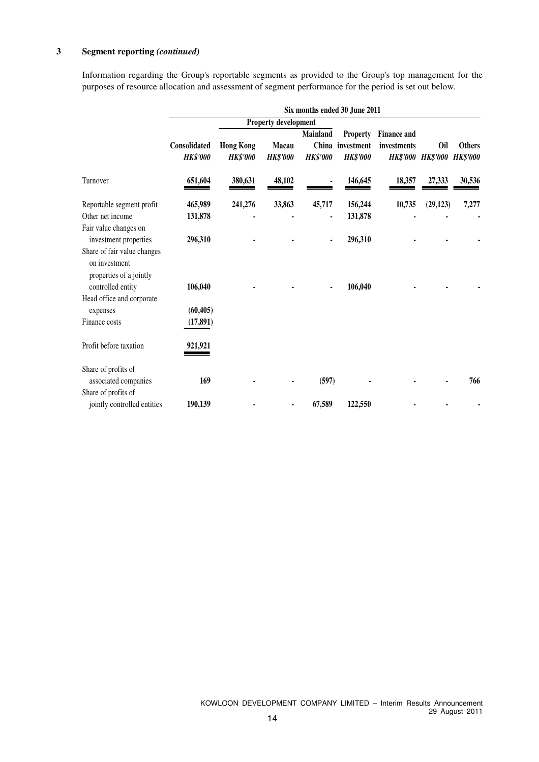#### **3 Segment reporting** *(continued)*

Information regarding the Group's reportable segments as provided to the Group's top management for the purposes of resource allocation and assessment of segment performance for the period is set out below.

|                                                                                              |                                        |                                     |                                 |                             |                                                        |                                   | Six months ended 30 June 2011   |                                  |  |  |  |  |  |  |  |  |  |
|----------------------------------------------------------------------------------------------|----------------------------------------|-------------------------------------|---------------------------------|-----------------------------|--------------------------------------------------------|-----------------------------------|---------------------------------|----------------------------------|--|--|--|--|--|--|--|--|--|
|                                                                                              |                                        |                                     | Property development            |                             |                                                        |                                   |                                 |                                  |  |  |  |  |  |  |  |  |  |
|                                                                                              | <b>Consolidated</b><br><b>HK\$'000</b> | <b>Hong Kong</b><br><b>HK\$'000</b> | <b>Macau</b><br><b>HK\$'000</b> | Mainland<br><b>HK\$'000</b> | <b>Property</b><br>China investment<br><b>HK\$'000</b> | <b>Finance and</b><br>investments | Oil<br><b>HK\$'000 HK\$'000</b> | <b>Others</b><br><b>HK\$'000</b> |  |  |  |  |  |  |  |  |  |
| Turnover                                                                                     | 651,604                                | 380,631                             | 48,102                          |                             | 146,645                                                | 18,357                            | 27,333                          | 30,536                           |  |  |  |  |  |  |  |  |  |
| Reportable segment profit                                                                    | 465,989                                | 241,276                             | 33,863                          | 45,717                      | 156,244                                                | 10,735                            | (29, 123)                       | 7,277                            |  |  |  |  |  |  |  |  |  |
| Other net income                                                                             | 131,878                                |                                     |                                 |                             | 131,878                                                |                                   |                                 |                                  |  |  |  |  |  |  |  |  |  |
| Fair value changes on<br>investment properties                                               | 296,310                                |                                     |                                 | $\blacksquare$              | 296,310                                                |                                   |                                 |                                  |  |  |  |  |  |  |  |  |  |
| Share of fair value changes<br>on investment<br>properties of a jointly<br>controlled entity | 106,040                                |                                     |                                 |                             | 106,040                                                |                                   |                                 |                                  |  |  |  |  |  |  |  |  |  |
| Head office and corporate<br>expenses                                                        | (60, 405)                              |                                     |                                 |                             |                                                        |                                   |                                 |                                  |  |  |  |  |  |  |  |  |  |
| Finance costs                                                                                | (17, 891)                              |                                     |                                 |                             |                                                        |                                   |                                 |                                  |  |  |  |  |  |  |  |  |  |
| Profit before taxation                                                                       | 921,921                                |                                     |                                 |                             |                                                        |                                   |                                 |                                  |  |  |  |  |  |  |  |  |  |
| Share of profits of<br>associated companies                                                  | 169                                    |                                     |                                 | (597)                       |                                                        |                                   |                                 | 766                              |  |  |  |  |  |  |  |  |  |
| Share of profits of                                                                          |                                        |                                     |                                 |                             |                                                        |                                   |                                 |                                  |  |  |  |  |  |  |  |  |  |
| jointly controlled entities                                                                  | 190,139                                |                                     |                                 | 67,589                      | 122,550                                                |                                   |                                 |                                  |  |  |  |  |  |  |  |  |  |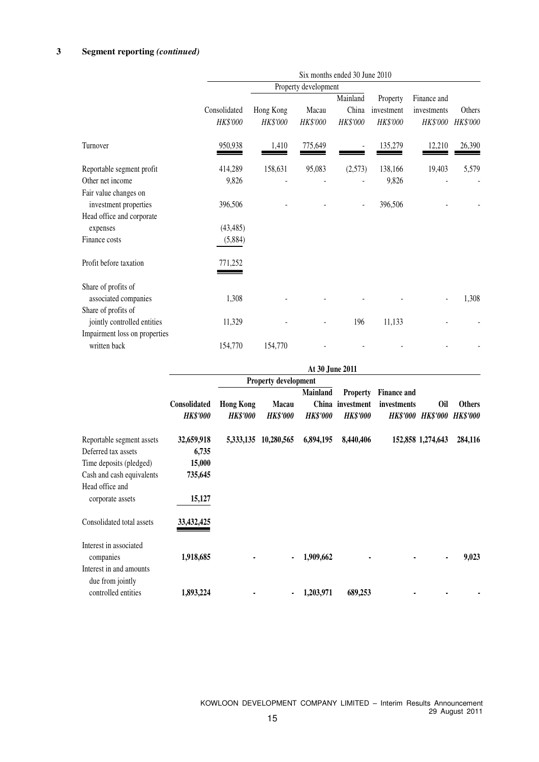|                                                                             | Six months ended 30 June 2010 |                       |                      |                               |                                    |                                        |                    |  |  |  |
|-----------------------------------------------------------------------------|-------------------------------|-----------------------|----------------------|-------------------------------|------------------------------------|----------------------------------------|--------------------|--|--|--|
|                                                                             |                               |                       | Property development |                               |                                    |                                        |                    |  |  |  |
|                                                                             | Consolidated<br>HK\$'000      | Hong Kong<br>HK\$'000 | Macau<br>HK\$'000    | Mainland<br>China<br>HK\$'000 | Property<br>investment<br>HK\$'000 | Finance and<br>investments<br>HK\$'000 | Others<br>HK\$'000 |  |  |  |
| Turnover                                                                    | 950,938                       | 1,410                 | 775,649              |                               | 135,279                            | 12,210                                 | 26,390             |  |  |  |
| Reportable segment profit                                                   | 414,289                       | 158,631               | 95,083               | (2,573)                       | 138,166                            | 19,403                                 | 5,579              |  |  |  |
| Other net income                                                            | 9,826                         |                       |                      |                               | 9,826                              |                                        |                    |  |  |  |
| Fair value changes on<br>investment properties<br>Head office and corporate | 396,506                       |                       |                      |                               | 396,506                            |                                        |                    |  |  |  |
| expenses                                                                    | (43, 485)                     |                       |                      |                               |                                    |                                        |                    |  |  |  |
| Finance costs                                                               | (5,884)                       |                       |                      |                               |                                    |                                        |                    |  |  |  |
| Profit before taxation                                                      | 771,252                       |                       |                      |                               |                                    |                                        |                    |  |  |  |
| Share of profits of<br>associated companies                                 | 1,308                         |                       |                      |                               |                                    |                                        | 1,308              |  |  |  |
| Share of profits of                                                         |                               |                       |                      |                               |                                    |                                        |                    |  |  |  |
| jointly controlled entities                                                 | 11,329                        |                       |                      | 196                           | 11,133                             |                                        |                    |  |  |  |
| Impairment loss on properties                                               |                               |                       |                      |                               |                                    |                                        |                    |  |  |  |
| written back                                                                | 154,770                       | 154,770               |                      |                               |                                    |                                        |                    |  |  |  |

|                                                                    | At 30 June 2011                        |                                     |                                 |                                    |                                                        |                                   |                                        |                                  |
|--------------------------------------------------------------------|----------------------------------------|-------------------------------------|---------------------------------|------------------------------------|--------------------------------------------------------|-----------------------------------|----------------------------------------|----------------------------------|
|                                                                    |                                        |                                     | <b>Property development</b>     |                                    |                                                        |                                   |                                        |                                  |
|                                                                    | <b>Consolidated</b><br><b>HK\$'000</b> | <b>Hong Kong</b><br><b>HK\$'000</b> | <b>Macau</b><br><b>HK\$'000</b> | <b>Mainland</b><br><b>HK\$'000</b> | <b>Property</b><br>China investment<br><b>HK\$'000</b> | <b>Finance and</b><br>investments | <b>Oil</b><br><b>HK\$'000 HK\$'000</b> | <b>Others</b><br><b>HK\$'000</b> |
| Reportable segment assets                                          | 32,659,918                             | 5,333,135                           | 10,280,565                      | 6,894,195                          | 8,440,406                                              |                                   | 152,858 1,274,643                      | 284,116                          |
| Deferred tax assets                                                | 6,735                                  |                                     |                                 |                                    |                                                        |                                   |                                        |                                  |
| Time deposits (pledged)                                            | 15,000                                 |                                     |                                 |                                    |                                                        |                                   |                                        |                                  |
| Cash and cash equivalents                                          | 735,645                                |                                     |                                 |                                    |                                                        |                                   |                                        |                                  |
| Head office and<br>corporate assets                                | 15,127                                 |                                     |                                 |                                    |                                                        |                                   |                                        |                                  |
| Consolidated total assets                                          | 33,432,425                             |                                     |                                 |                                    |                                                        |                                   |                                        |                                  |
| Interest in associated<br>companies                                | 1,918,685                              |                                     | ٠                               | 1,909,662                          |                                                        |                                   | ٠                                      | 9,023                            |
| Interest in and amounts<br>due from jointly<br>controlled entities | 1,893,224                              |                                     | ٠                               | 1,203,971                          | 689,253                                                |                                   |                                        |                                  |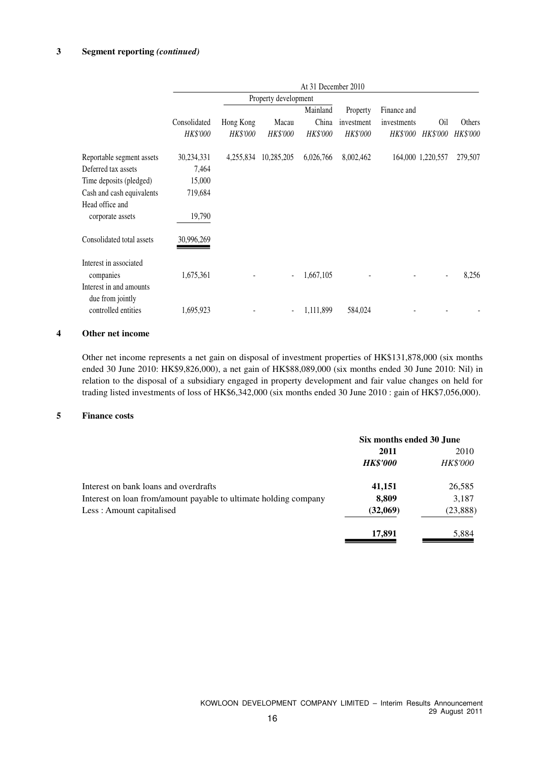#### **3 Segment reporting** *(continued)*

|                                                                | At 31 December 2010      |                       |                          |                               |                                    |                                               |                          |                    |
|----------------------------------------------------------------|--------------------------|-----------------------|--------------------------|-------------------------------|------------------------------------|-----------------------------------------------|--------------------------|--------------------|
|                                                                | Property development     |                       |                          |                               |                                    |                                               |                          |                    |
|                                                                | Consolidated<br>HK\$'000 | Hong Kong<br>HK\$'000 | Macau<br>HK\$'000        | Mainland<br>China<br>HK\$'000 | Property<br>investment<br>HK\$'000 | Finance and<br>investments<br><i>HK\$'000</i> | Oil<br><i>HK\$'000</i>   | Others<br>HK\$'000 |
| Reportable segment assets                                      | 30,234,331               | 4,255,834             | 10,285,205               | 6,026,766                     | 8,002,462                          |                                               | 164,000 1,220,557        | 279,507            |
| Deferred tax assets                                            | 7,464                    |                       |                          |                               |                                    |                                               |                          |                    |
| Time deposits (pledged)                                        | 15,000                   |                       |                          |                               |                                    |                                               |                          |                    |
| Cash and cash equivalents                                      | 719,684                  |                       |                          |                               |                                    |                                               |                          |                    |
| Head office and<br>corporate assets                            | 19,790                   |                       |                          |                               |                                    |                                               |                          |                    |
| Consolidated total assets                                      | 30,996,269               |                       |                          |                               |                                    |                                               |                          |                    |
| Interest in associated<br>companies<br>Interest in and amounts | 1,675,361                |                       | $\blacksquare$           | 1,667,105                     |                                    |                                               | $\overline{\phantom{a}}$ | 8,256              |
| due from jointly<br>controlled entities                        | 1,695,923                |                       | $\overline{\phantom{a}}$ | 1,111,899                     | 584,024                            |                                               |                          |                    |

#### **4 Other net income**

Other net income represents a net gain on disposal of investment properties of HK\$131,878,000 (six months ended 30 June 2010: HK\$9,826,000), a net gain of HK\$88,089,000 (six months ended 30 June 2010: Nil) in relation to the disposal of a subsidiary engaged in property development and fair value changes on held for trading listed investments of loss of HK\$6,342,000 (six months ended 30 June 2010 : gain of HK\$7,056,000).

#### **5 Finance costs**

|                                                                  | Six months ended 30 June |                 |  |
|------------------------------------------------------------------|--------------------------|-----------------|--|
|                                                                  | 2011                     | 2010            |  |
|                                                                  | <b>HK\$'000</b>          | <b>HK\$'000</b> |  |
| Interest on bank loans and overdrafts                            | 41,151                   | 26,585          |  |
| Interest on loan from/amount payable to ultimate holding company | 8,809                    | 3,187           |  |
| Less: Amount capitalised                                         | (32,069)                 | (23, 888)       |  |
|                                                                  | 17,891                   | 5,884           |  |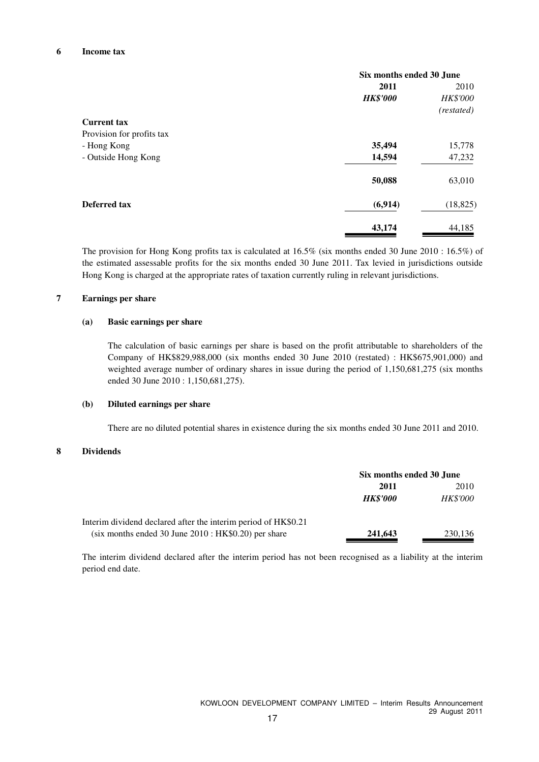|                           | Six months ended 30 June |                 |  |
|---------------------------|--------------------------|-----------------|--|
|                           | 2011                     | 2010            |  |
|                           | <b>HK\$'000</b>          | <b>HK\$'000</b> |  |
|                           |                          | (restated)      |  |
| <b>Current tax</b>        |                          |                 |  |
| Provision for profits tax |                          |                 |  |
| - Hong Kong               | 35,494                   | 15,778          |  |
| - Outside Hong Kong       | 14,594                   | 47,232          |  |
|                           | 50,088                   | 63,010          |  |
| Deferred tax              | (6,914)                  | (18, 825)       |  |
|                           | 43,174                   | 44,185          |  |

The provision for Hong Kong profits tax is calculated at 16.5% (six months ended 30 June 2010 : 16.5%) of the estimated assessable profits for the six months ended 30 June 2011. Tax levied in jurisdictions outside Hong Kong is charged at the appropriate rates of taxation currently ruling in relevant jurisdictions.

#### **7 Earnings per share**

#### **(a) Basic earnings per share**

The calculation of basic earnings per share is based on the profit attributable to shareholders of the Company of HK\$829,988,000 (six months ended 30 June 2010 (restated) : HK\$675,901,000) and weighted average number of ordinary shares in issue during the period of 1,150,681,275 (six months ended 30 June 2010 : 1,150,681,275).

#### **(b) Diluted earnings per share**

There are no diluted potential shares in existence during the six months ended 30 June 2011 and 2010.

#### **8 Dividends**

|                                                                | Six months ended 30 June |                 |  |
|----------------------------------------------------------------|--------------------------|-----------------|--|
|                                                                | 2010<br>2011             |                 |  |
|                                                                | <b>HK\$'000</b>          | <i>HK\$'000</i> |  |
| Interim dividend declared after the interim period of HK\$0.21 |                          |                 |  |
| $(six$ months ended 30 June 2010 : HK\$0.20) per share         | 241,643                  | 230,136         |  |

The interim dividend declared after the interim period has not been recognised as a liability at the interim period end date.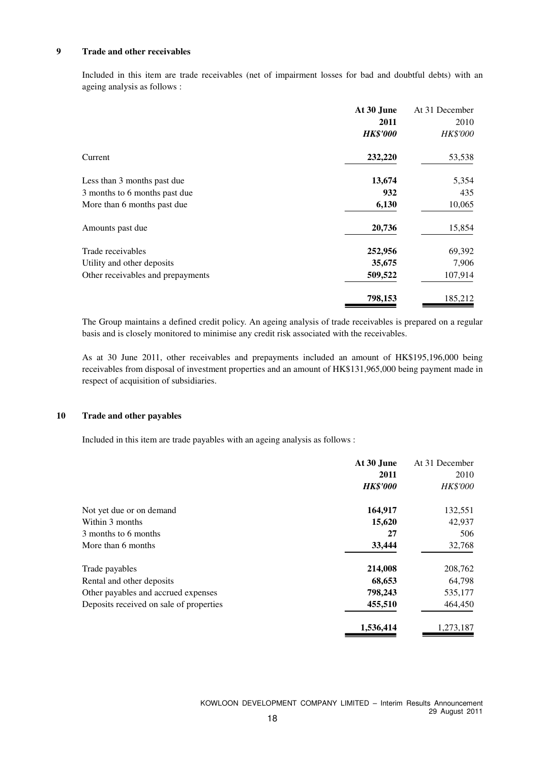#### **9 Trade and other receivables**

Included in this item are trade receivables (net of impairment losses for bad and doubtful debts) with an ageing analysis as follows :

|                                   | At 30 June      | At 31 December  |
|-----------------------------------|-----------------|-----------------|
|                                   | 2011            | 2010            |
|                                   | <b>HK\$'000</b> | <b>HK\$'000</b> |
| Current                           | 232,220         | 53,538          |
| Less than 3 months past due       | 13,674          | 5,354           |
| 3 months to 6 months past due     | 932             | 435             |
| More than 6 months past due       | 6,130           | 10,065          |
| Amounts past due                  | 20,736          | 15,854          |
| Trade receivables                 | 252,956         | 69,392          |
| Utility and other deposits        | 35,675          | 7,906           |
| Other receivables and prepayments | 509,522         | 107,914         |
|                                   | 798,153         | 185,212         |

The Group maintains a defined credit policy. An ageing analysis of trade receivables is prepared on a regular basis and is closely monitored to minimise any credit risk associated with the receivables.

As at 30 June 2011, other receivables and prepayments included an amount of HK\$195,196,000 being receivables from disposal of investment properties and an amount of HK\$131,965,000 being payment made in respect of acquisition of subsidiaries.

#### **10 Trade and other payables**

Included in this item are trade payables with an ageing analysis as follows :

|                                         | At 30 June      | At 31 December  |
|-----------------------------------------|-----------------|-----------------|
|                                         | 2011            | 2010            |
|                                         | <b>HK\$'000</b> | <b>HK\$'000</b> |
| Not yet due or on demand                | 164,917         | 132,551         |
| Within 3 months                         | 15,620          | 42,937          |
| 3 months to 6 months                    | 27              | 506             |
| More than 6 months                      | 33,444          | 32,768          |
| Trade payables                          | 214,008         | 208,762         |
| Rental and other deposits               | 68,653          | 64,798          |
| Other payables and accrued expenses     | 798,243         | 535,177         |
| Deposits received on sale of properties | 455,510         | 464,450         |
|                                         | 1,536,414       | 1,273,187       |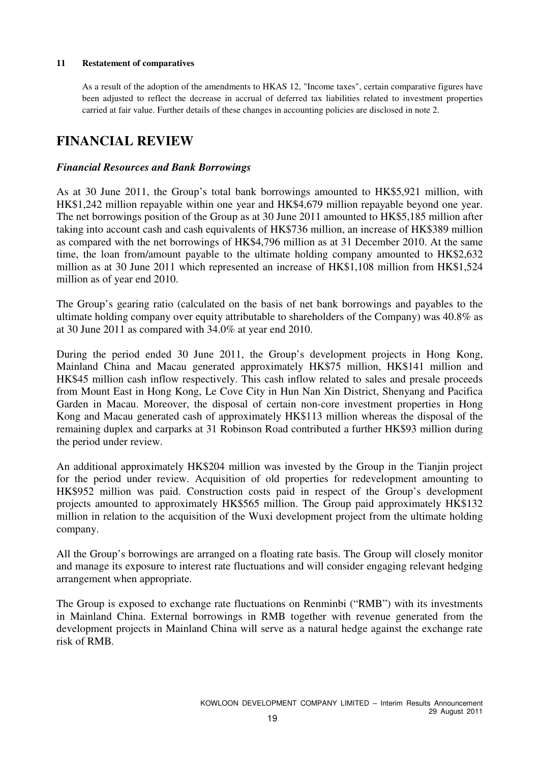#### **11 Restatement of comparatives**

As a result of the adoption of the amendments to HKAS 12, "Income taxes", certain comparative figures have been adjusted to reflect the decrease in accrual of deferred tax liabilities related to investment properties carried at fair value. Further details of these changes in accounting policies are disclosed in note 2.

### **FINANCIAL REVIEW**

### *Financial Resources and Bank Borrowings*

As at 30 June 2011, the Group's total bank borrowings amounted to HK\$5,921 million, with HK\$1,242 million repayable within one year and HK\$4,679 million repayable beyond one year. The net borrowings position of the Group as at 30 June 2011 amounted to HK\$5,185 million after taking into account cash and cash equivalents of HK\$736 million, an increase of HK\$389 million as compared with the net borrowings of HK\$4,796 million as at 31 December 2010. At the same time, the loan from/amount payable to the ultimate holding company amounted to HK\$2,632 million as at 30 June 2011 which represented an increase of HK\$1,108 million from HK\$1,524 million as of year end 2010.

The Group's gearing ratio (calculated on the basis of net bank borrowings and payables to the ultimate holding company over equity attributable to shareholders of the Company) was 40.8% as at 30 June 2011 as compared with 34.0% at year end 2010.

During the period ended 30 June 2011, the Group's development projects in Hong Kong, Mainland China and Macau generated approximately HK\$75 million, HK\$141 million and HK\$45 million cash inflow respectively. This cash inflow related to sales and presale proceeds from Mount East in Hong Kong, Le Cove City in Hun Nan Xin District, Shenyang and Pacifica Garden in Macau. Moreover, the disposal of certain non-core investment properties in Hong Kong and Macau generated cash of approximately HK\$113 million whereas the disposal of the remaining duplex and carparks at 31 Robinson Road contributed a further HK\$93 million during the period under review.

An additional approximately HK\$204 million was invested by the Group in the Tianjin project for the period under review. Acquisition of old properties for redevelopment amounting to HK\$952 million was paid. Construction costs paid in respect of the Group's development projects amounted to approximately HK\$565 million. The Group paid approximately HK\$132 million in relation to the acquisition of the Wuxi development project from the ultimate holding company.

All the Group's borrowings are arranged on a floating rate basis. The Group will closely monitor and manage its exposure to interest rate fluctuations and will consider engaging relevant hedging arrangement when appropriate.

The Group is exposed to exchange rate fluctuations on Renminbi ("RMB") with its investments in Mainland China. External borrowings in RMB together with revenue generated from the development projects in Mainland China will serve as a natural hedge against the exchange rate risk of RMB.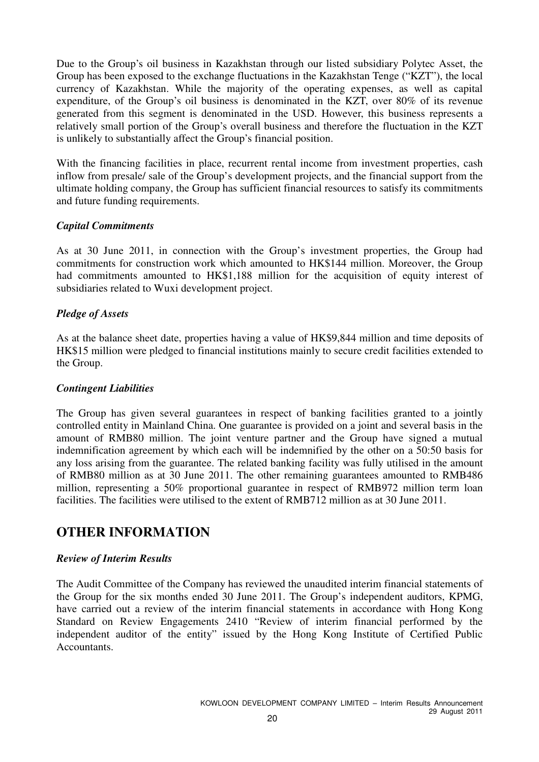Due to the Group's oil business in Kazakhstan through our listed subsidiary Polytec Asset, the Group has been exposed to the exchange fluctuations in the Kazakhstan Tenge ("KZT"), the local currency of Kazakhstan. While the majority of the operating expenses, as well as capital expenditure, of the Group's oil business is denominated in the KZT, over 80% of its revenue generated from this segment is denominated in the USD. However, this business represents a relatively small portion of the Group's overall business and therefore the fluctuation in the KZT is unlikely to substantially affect the Group's financial position.

With the financing facilities in place, recurrent rental income from investment properties, cash inflow from presale/ sale of the Group's development projects, and the financial support from the ultimate holding company, the Group has sufficient financial resources to satisfy its commitments and future funding requirements.

### *Capital Commitments*

As at 30 June 2011, in connection with the Group's investment properties, the Group had commitments for construction work which amounted to HK\$144 million. Moreover, the Group had commitments amounted to HK\$1,188 million for the acquisition of equity interest of subsidiaries related to Wuxi development project.

### *Pledge of Assets*

As at the balance sheet date, properties having a value of HK\$9,844 million and time deposits of HK\$15 million were pledged to financial institutions mainly to secure credit facilities extended to the Group.

### *Contingent Liabilities*

The Group has given several guarantees in respect of banking facilities granted to a jointly controlled entity in Mainland China. One guarantee is provided on a joint and several basis in the amount of RMB80 million. The joint venture partner and the Group have signed a mutual indemnification agreement by which each will be indemnified by the other on a 50:50 basis for any loss arising from the guarantee. The related banking facility was fully utilised in the amount of RMB80 million as at 30 June 2011. The other remaining guarantees amounted to RMB486 million, representing a 50% proportional guarantee in respect of RMB972 million term loan facilities. The facilities were utilised to the extent of RMB712 million as at 30 June 2011.

# **OTHER INFORMATION**

### *Review of Interim Results*

The Audit Committee of the Company has reviewed the unaudited interim financial statements of the Group for the six months ended 30 June 2011. The Group's independent auditors, KPMG, have carried out a review of the interim financial statements in accordance with Hong Kong Standard on Review Engagements 2410 "Review of interim financial performed by the independent auditor of the entity" issued by the Hong Kong Institute of Certified Public Accountants.